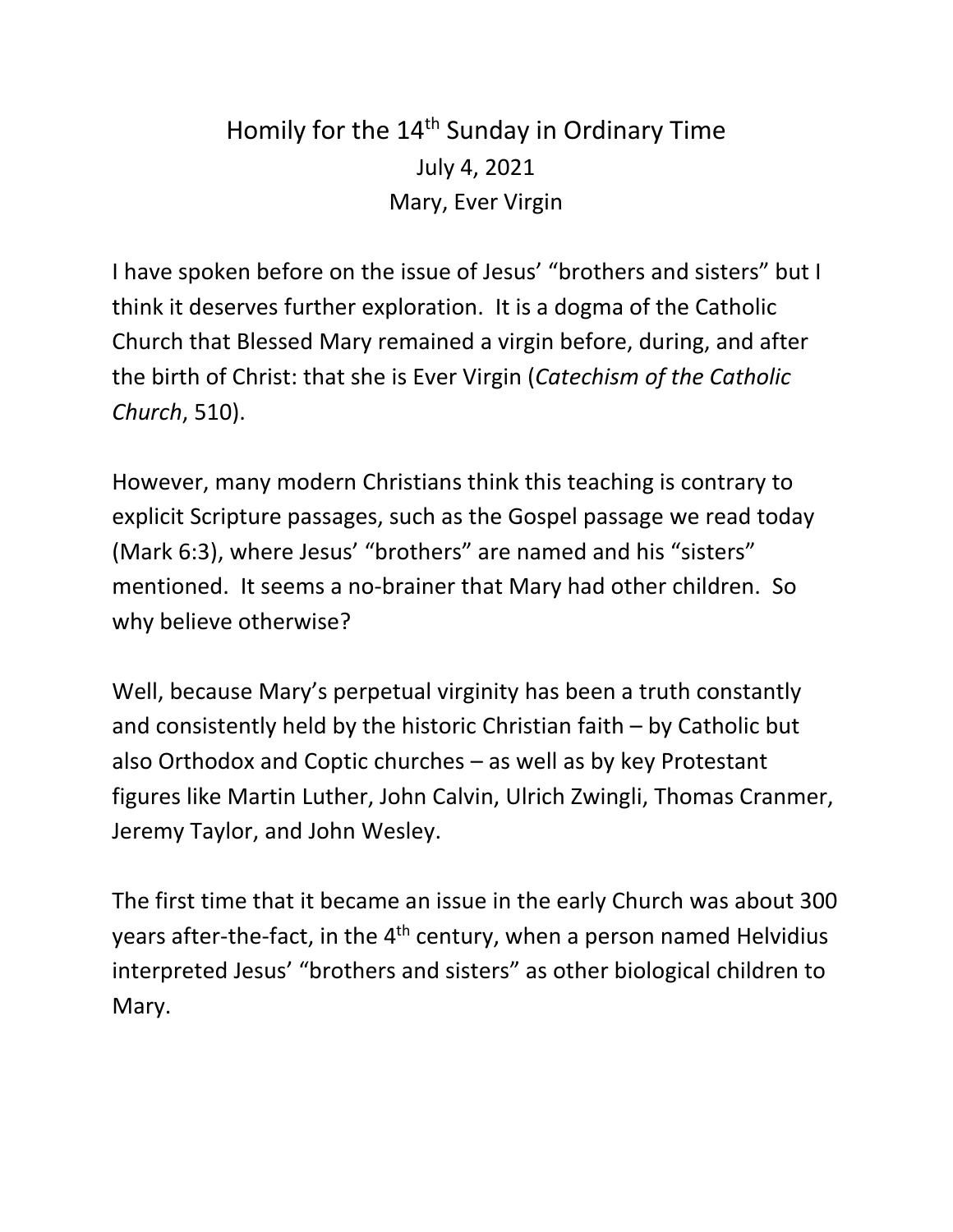## Homily for the 14<sup>th</sup> Sunday in Ordinary Time July 4, 2021 Mary, Ever Virgin

I have spoken before on the issue of Jesus' "brothers and sisters" but I think it deserves further exploration. It is a dogma of the Catholic Church that Blessed Mary remained a virgin before, during, and after the birth of Christ: that she is Ever Virgin (*Catechism of the Catholic Church*, 510).

However, many modern Christians think this teaching is contrary to explicit Scripture passages, such as the Gospel passage we read today (Mark 6:3), where Jesus' "brothers" are named and his "sisters" mentioned. It seems a no-brainer that Mary had other children. So why believe otherwise?

Well, because Mary's perpetual virginity has been a truth constantly and consistently held by the historic Christian faith – by Catholic but also Orthodox and Coptic churches – as well as by key Protestant figures like Martin Luther, John Calvin, Ulrich Zwingli, Thomas Cranmer, Jeremy Taylor, and John Wesley.

The first time that it became an issue in the early Church was about 300 years after-the-fact, in the 4<sup>th</sup> century, when a person named Helvidius interpreted Jesus' "brothers and sisters" as other biological children to Mary.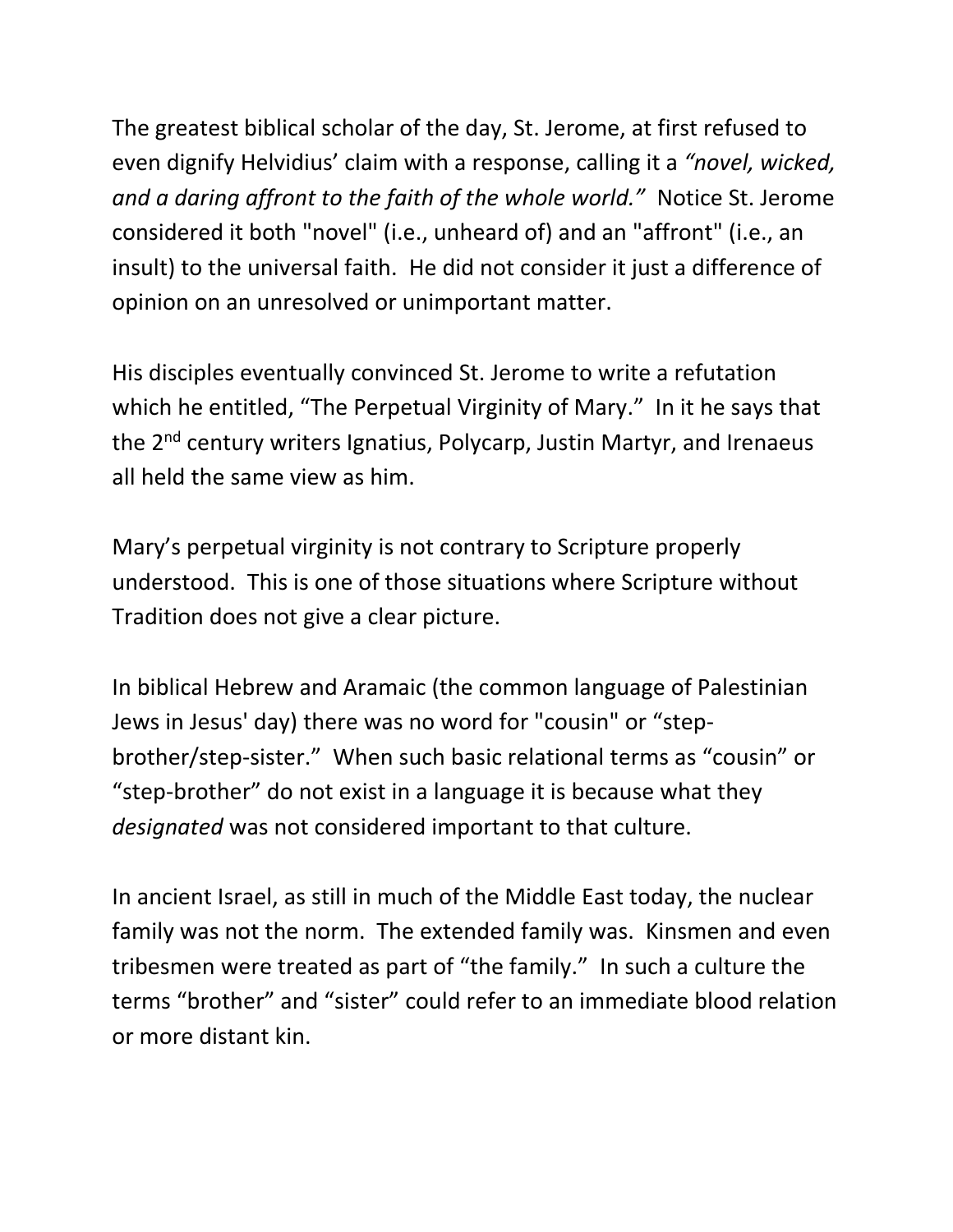The greatest biblical scholar of the day, St. Jerome, at first refused to even dignify Helvidius' claim with a response, calling it a *"novel, wicked, and a daring affront to the faith of the whole world."* Notice St. Jerome considered it both "novel" (i.e., unheard of) and an "affront" (i.e., an insult) to the universal faith. He did not consider it just a difference of opinion on an unresolved or unimportant matter.

His disciples eventually convinced St. Jerome to write a refutation which he entitled, "The Perpetual Virginity of Mary." In it he says that the 2<sup>nd</sup> century writers Ignatius, Polycarp, Justin Martyr, and Irenaeus all held the same view as him.

Mary's perpetual virginity is not contrary to Scripture properly understood. This is one of those situations where Scripture without Tradition does not give a clear picture.

In biblical Hebrew and Aramaic (the common language of Palestinian Jews in Jesus' day) there was no word for "cousin" or "stepbrother/step-sister." When such basic relational terms as "cousin" or "step-brother" do not exist in a language it is because what they *designated* was not considered important to that culture.

In ancient Israel, as still in much of the Middle East today, the nuclear family was not the norm. The extended family was. Kinsmen and even tribesmen were treated as part of "the family." In such a culture the terms "brother" and "sister" could refer to an immediate blood relation or more distant kin.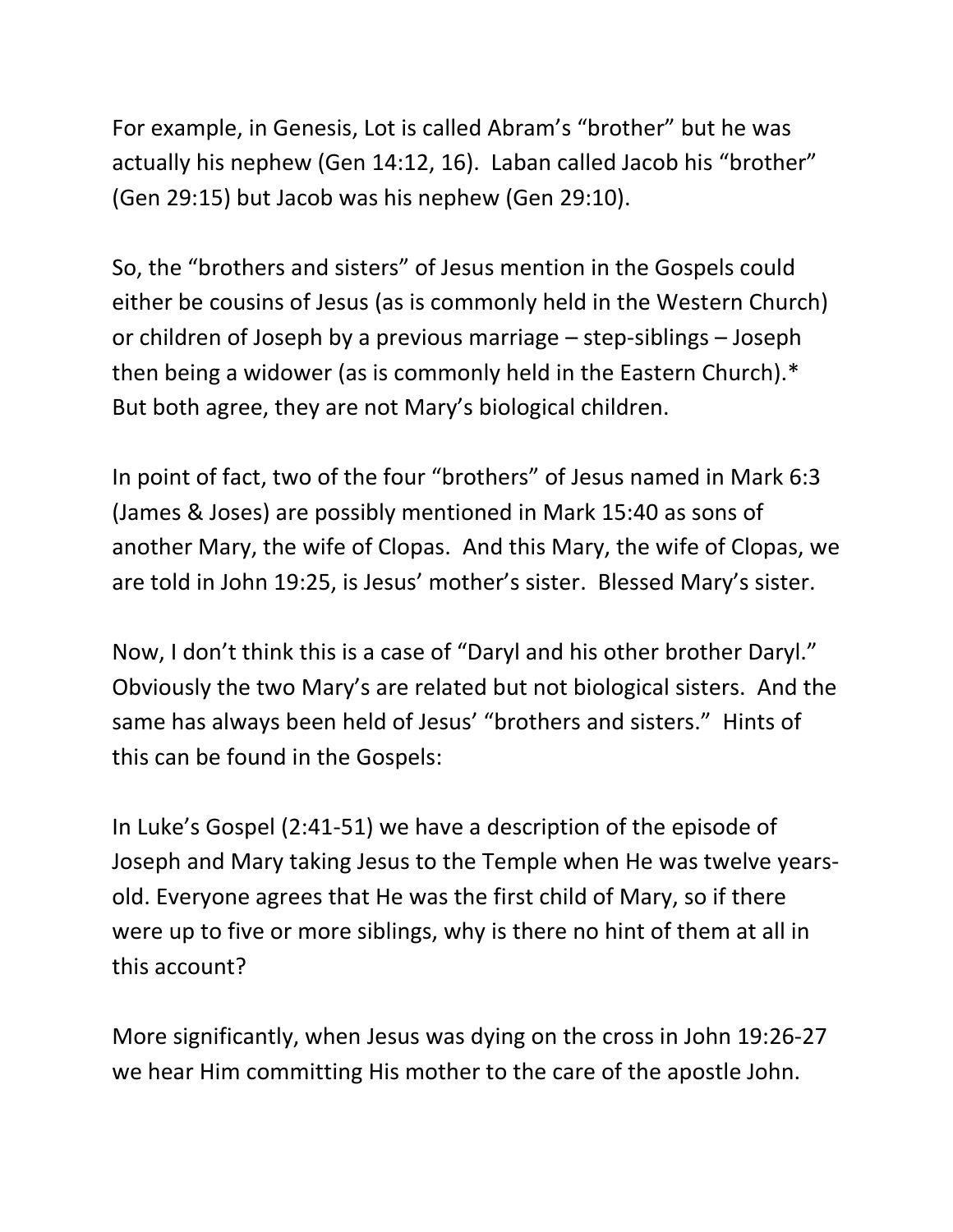For example, in Genesis, Lot is called Abram's "brother" but he was actually his nephew (Gen 14:12, 16). Laban called Jacob his "brother" (Gen 29:15) but Jacob was his nephew (Gen 29:10).

So, the "brothers and sisters" of Jesus mention in the Gospels could either be cousins of Jesus (as is commonly held in the Western Church) or children of Joseph by a previous marriage – step-siblings – Joseph then being a widower (as is commonly held in the Eastern Church).\* But both agree, they are not Mary's biological children.

In point of fact, two of the four "brothers" of Jesus named in Mark 6:3 (James & Joses) are possibly mentioned in Mark 15:40 as sons of another Mary, the wife of Clopas. And this Mary, the wife of Clopas, we are told in John 19:25, is Jesus' mother's sister. Blessed Mary's sister.

Now, I don't think this is a case of "Daryl and his other brother Daryl." Obviously the two Mary's are related but not biological sisters. And the same has always been held of Jesus' "brothers and sisters." Hints of this can be found in the Gospels:

In Luke's Gospel (2:41-51) we have a description of the episode of Joseph and Mary taking Jesus to the Temple when He was twelve yearsold. Everyone agrees that He was the first child of Mary, so if there were up to five or more siblings, why is there no hint of them at all in this account?

More significantly, when Jesus was dying on the cross in John 19:26-27 we hear Him committing His mother to the care of the apostle John.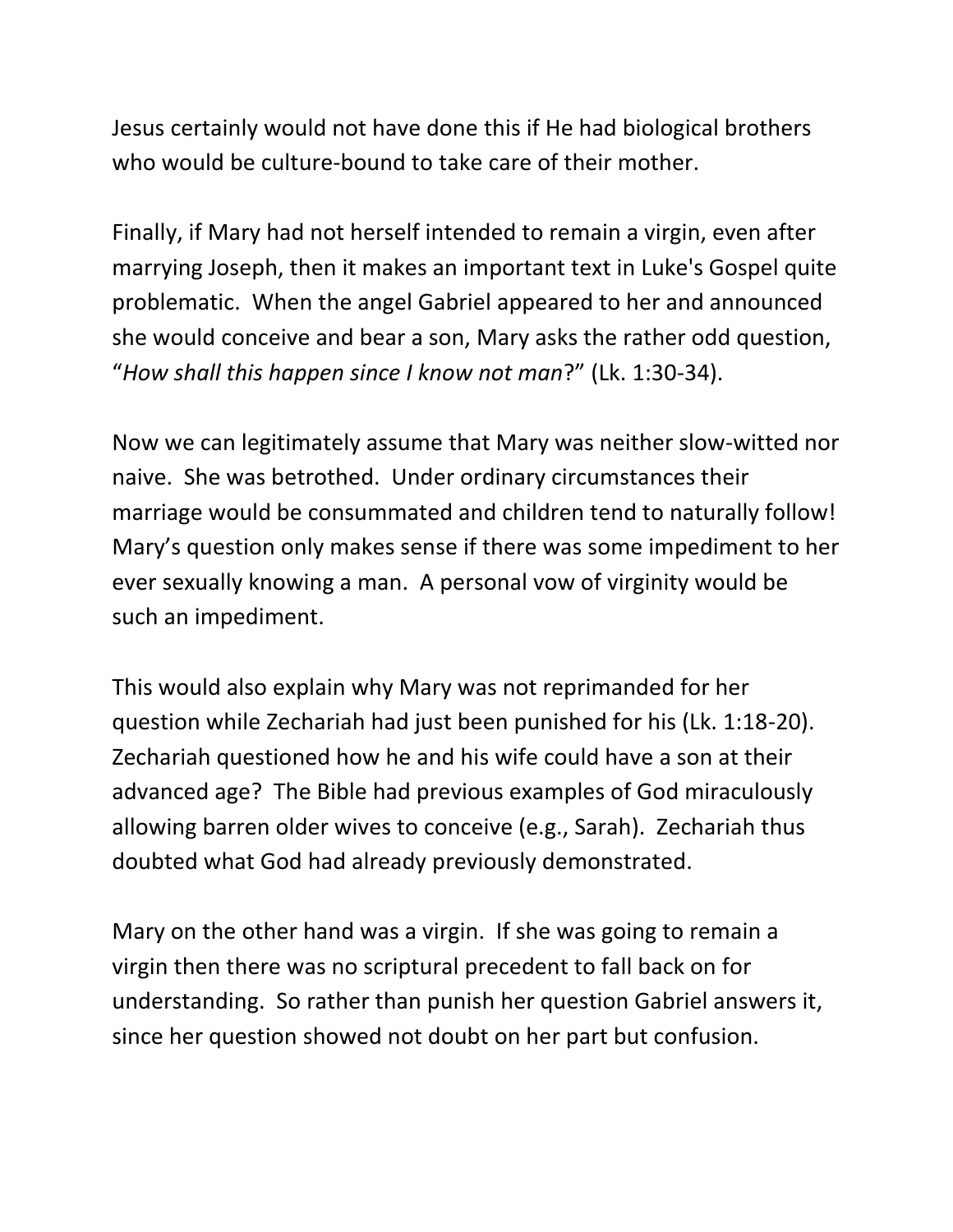Jesus certainly would not have done this if He had biological brothers who would be culture-bound to take care of their mother.

Finally, if Mary had not herself intended to remain a virgin, even after marrying Joseph, then it makes an important text in Luke's Gospel quite problematic. When the angel Gabriel appeared to her and announced she would conceive and bear a son, Mary asks the rather odd question, "*How shall this happen since I know not man*?" (Lk. 1:30-34).

Now we can legitimately assume that Mary was neither slow-witted nor naive. She was betrothed. Under ordinary circumstances their marriage would be consummated and children tend to naturally follow! Mary's question only makes sense if there was some impediment to her ever sexually knowing a man. A personal vow of virginity would be such an impediment.

This would also explain why Mary was not reprimanded for her question while Zechariah had just been punished for his (Lk. 1:18-20). Zechariah questioned how he and his wife could have a son at their advanced age? The Bible had previous examples of God miraculously allowing barren older wives to conceive (e.g., Sarah). Zechariah thus doubted what God had already previously demonstrated.

Mary on the other hand was a virgin. If she was going to remain a virgin then there was no scriptural precedent to fall back on for understanding. So rather than punish her question Gabriel answers it, since her question showed not doubt on her part but confusion.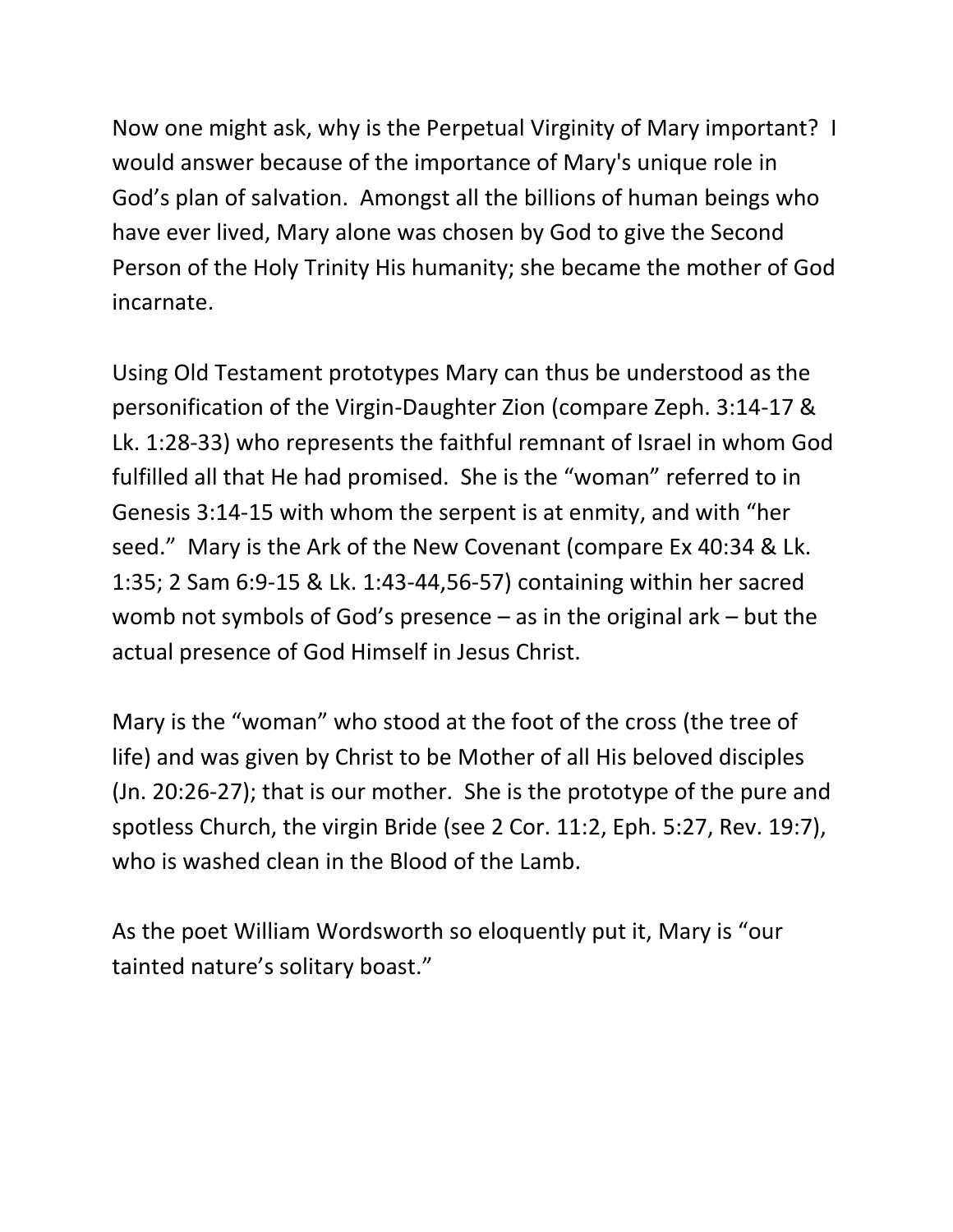Now one might ask, why is the Perpetual Virginity of Mary important? I would answer because of the importance of Mary's unique role in God's plan of salvation. Amongst all the billions of human beings who have ever lived, Mary alone was chosen by God to give the Second Person of the Holy Trinity His humanity; she became the mother of God incarnate.

Using Old Testament prototypes Mary can thus be understood as the personification of the Virgin-Daughter Zion (compare Zeph. 3:14-17 & Lk. 1:28-33) who represents the faithful remnant of Israel in whom God fulfilled all that He had promised. She is the "woman" referred to in Genesis 3:14-15 with whom the serpent is at enmity, and with "her seed." Mary is the Ark of the New Covenant (compare Ex 40:34 & Lk. 1:35; 2 Sam 6:9-15 & Lk. 1:43-44,56-57) containing within her sacred womb not symbols of God's presence – as in the original ark – but the actual presence of God Himself in Jesus Christ.

Mary is the "woman" who stood at the foot of the cross (the tree of life) and was given by Christ to be Mother of all His beloved disciples (Jn. 20:26-27); that is our mother. She is the prototype of the pure and spotless Church, the virgin Bride (see 2 Cor. 11:2, Eph. 5:27, Rev. 19:7), who is washed clean in the Blood of the Lamb.

As the poet William Wordsworth so eloquently put it, Mary is "our tainted nature's solitary boast."